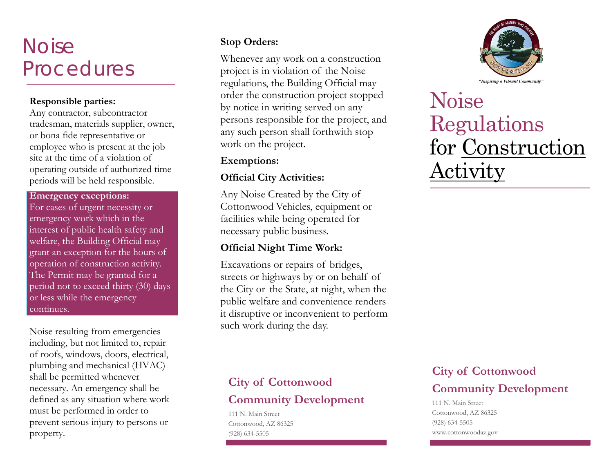# **Noise** Procedures

#### **Responsible parties:**

Any contractor, subcontractor tradesman, materials supplier, owner, or bona fide representative or employee who is present at the job site at the time of a violation of operating outside of authorized time periods will be held responsible.

#### **Emergency exceptions:**

For cases of urgent necessity or emergency work which in the interest of public health safety and welfare, the Building Official may grant an exception for the hours of operation of construction activity. The Permit may be granted for a period not to exceed thirty (30) days or less while the emergency continues.

Noise resulting from emergencies including, but not limited to, repair of roofs, windows, doors, electrical, plumbing and mechanical (HVAC) shall be permitted whenever necessary. An emergency shall be defined as any situation where work must be performed in order to prevent serious injury to persons or property.

### **Stop Orders:**

Whenever any work on a construction project is in violation of the Noise regulations, the Building Official may order the construction project stopped by notice in writing served on any persons responsible for the project, and any such person shall forthwith stop work on the project.

### **Exemptions:**

### **Official City Activities:**

Any Noise Created by the City of Cottonwood Vehicles, equipment orfacilities while being operated for necessary public business.

### **Official Night Time Work:**

Excavations or repairs of bridges, streets or highways by or on behalf of the City or the State, at night, when the public welfare and convenience renders it disruptive or inconvenient to perform such work during the day.



# Noise Regulations for Construction Activity

## **City of Cottonwood Community Development**

111 N. Main Street Cottonwood, AZ 86325 (928) 634-5505

## **City of Cottonwood Community Development**

111 N. Main Street Cottonwood, AZ 86325 (928) 634-5505 www.cottonwoodaz.gov